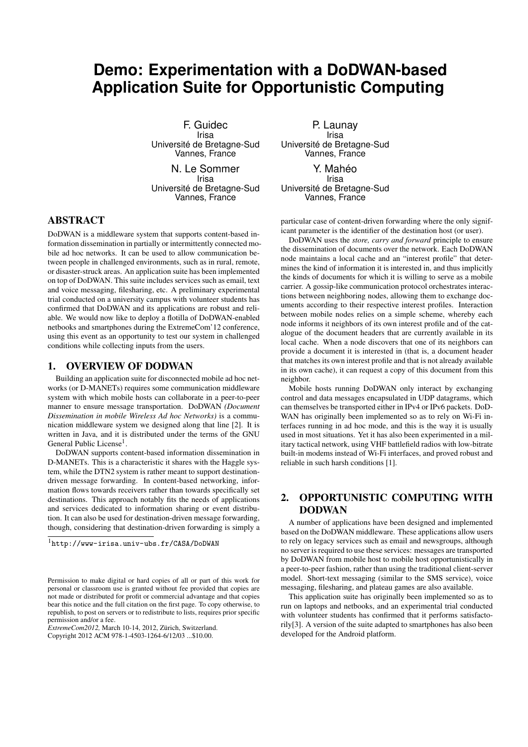# **Demo: Experimentation with a DoDWAN-based Application Suite for Opportunistic Computing**

F. Guidec Irisa Université de Bretagne-Sud Vannes, France N. Le Sommer Irisa

Université de Bretagne-Sud Vannes, France

## ABSTRACT

DoDWAN is a middleware system that supports content-based information dissemination in partially or intermittently connected mobile ad hoc networks. It can be used to allow communication between people in challenged environments, such as in rural, remote, or disaster-struck areas. An application suite has been implemented on top of DoDWAN. This suite includes services such as email, text and voice messaging, filesharing, etc. A preliminary experimental trial conducted on a university campus with volunteer students has confirmed that DoDWAN and its applications are robust and reliable. We would now like to deploy a flotilla of DoDWAN-enabled netbooks and smartphones during the ExtremeCom'12 conference, using this event as an opportunity to test our system in challenged conditions while collecting inputs from the users.

#### 1. OVERVIEW OF DODWAN

Building an application suite for disconnected mobile ad hoc networks (or D-MANETs) requires some communication middleware system with which mobile hosts can collaborate in a peer-to-peer manner to ensure message transportation. DoDWAN *(Document Dissemination in mobile Wireless Ad hoc Networks)* is a communication middleware system we designed along that line [2]. It is written in Java, and it is distributed under the terms of the GNU General Public License<sup>1</sup>.

DoDWAN supports content-based information dissemination in D-MANETs. This is a characteristic it shares with the Haggle system, while the DTN2 system is rather meant to support destinationdriven message forwarding. In content-based networking, information flows towards receivers rather than towards specifically set destinations. This approach notably fits the needs of applications and services dedicated to information sharing or event distribution. It can also be used for destination-driven message forwarding, though, considering that destination-driven forwarding is simply a

<sup>1</sup>http://www-irisa.univ-ubs.fr/CASA/DoDWAN

*ExtremeCom2012,* March 10-14, 2012, Zürich, Switzerland. Copyright 2012 ACM 978-1-4503-1264-6/12/03 ...\$10.00.

P. Launay Irisa Université de Bretagne-Sud Vannes, France

Y. Mahéo Irisa Université de Bretagne-Sud Vannes, France

particular case of content-driven forwarding where the only significant parameter is the identifier of the destination host (or user).

DoDWAN uses the *store, carry and forward* principle to ensure the dissemination of documents over the network. Each DoDWAN node maintains a local cache and an "interest profile" that determines the kind of information it is interested in, and thus implicitly the kinds of documents for which it is willing to serve as a mobile carrier. A gossip-like communication protocol orchestrates interactions between neighboring nodes, allowing them to exchange documents according to their respective interest profiles. Interaction between mobile nodes relies on a simple scheme, whereby each node informs it neighbors of its own interest profile and of the catalogue of the document headers that are currently available in its local cache. When a node discovers that one of its neighbors can provide a document it is interested in (that is, a document header that matches its own interest profile and that is not already available in its own cache), it can request a copy of this document from this neighbor.

Mobile hosts running DoDWAN only interact by exchanging control and data messages encapsulated in UDP datagrams, which can themselves be transported either in IPv4 or IPv6 packets. DoD-WAN has originally been implemented so as to rely on Wi-Fi interfaces running in ad hoc mode, and this is the way it is usually used in most situations. Yet it has also been experimented in a military tactical network, using VHF battlefield radios with low-bitrate built-in modems instead of Wi-Fi interfaces, and proved robust and reliable in such harsh conditions [1].

# 2. OPPORTUNISTIC COMPUTING WITH DODWAN

A number of applications have been designed and implemented based on the DoDWAN middleware. These applications allow users to rely on legacy services such as email and newsgroups, although no server is required to use these services: messages are transported by DoDWAN from mobile host to mobile host opportunistically in a peer-to-peer fashion, rather than using the traditional client-server model. Short-text messaging (similar to the SMS service), voice messaging, filesharing, and plateau games are also available.

This application suite has originally been implemented so as to run on laptops and netbooks, and an experimental trial conducted with volunteer students has confirmed that it performs satisfactorily[3]. A version of the suite adapted to smartphones has also been developed for the Android platform.

Permission to make digital or hard copies of all or part of this work for personal or classroom use is granted without fee provided that copies are not made or distributed for profit or commercial advantage and that copies bear this notice and the full citation on the first page. To copy otherwise, to republish, to post on servers or to redistribute to lists, requires prior specific permission and/or a fee.